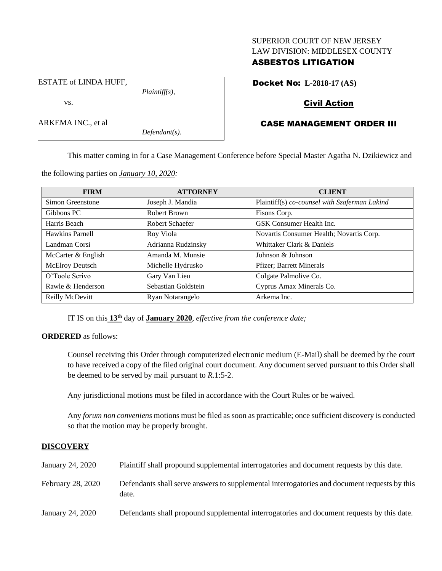### SUPERIOR COURT OF NEW JERSEY LAW DIVISION: MIDDLESEX COUNTY

## ASBESTOS LITIGATION

ESTATE of LINDA HUFF,

vs.

ARKEMA INC., et al

*Defendant(s).*

*Plaintiff(s),*

Docket No: **L-2818-17 (AS)**

# Civil Action

# CASE MANAGEMENT ORDER III

This matter coming in for a Case Management Conference before Special Master Agatha N. Dzikiewicz and

the following parties on *January 10, 2020:*

| <b>FIRM</b>        | <b>ATTORNEY</b>     | <b>CLIENT</b>                                 |
|--------------------|---------------------|-----------------------------------------------|
| Simon Greenstone   | Joseph J. Mandia    | Plaintiff(s) co-counsel with Szaferman Lakind |
| Gibbons PC         | Robert Brown        | Fisons Corp.                                  |
| Harris Beach       | Robert Schaefer     | GSK Consumer Health Inc.                      |
| Hawkins Parnell    | Roy Viola           | Novartis Consumer Health; Novartis Corp.      |
| Landman Corsi      | Adrianna Rudzinsky  | Whittaker Clark & Daniels                     |
| McCarter & English | Amanda M. Munsie    | Johnson & Johnson                             |
| McElroy Deutsch    | Michelle Hydrusko   | <b>Pfizer</b> ; Barrett Minerals              |
| O'Toole Scrivo     | Gary Van Lieu       | Colgate Palmolive Co.                         |
| Rawle & Henderson  | Sebastian Goldstein | Cyprus Amax Minerals Co.                      |
| Reilly McDevitt    | Ryan Notarangelo    | Arkema Inc.                                   |

IT IS on this **13th** day of **January 2020**, *effective from the conference date;*

## **ORDERED** as follows:

Counsel receiving this Order through computerized electronic medium (E-Mail) shall be deemed by the court to have received a copy of the filed original court document. Any document served pursuant to this Order shall be deemed to be served by mail pursuant to *R*.1:5-2.

Any jurisdictional motions must be filed in accordance with the Court Rules or be waived.

Any *forum non conveniens* motions must be filed as soon as practicable; once sufficient discovery is conducted so that the motion may be properly brought.

## **DISCOVERY**

| January 24, 2020  | Plaintiff shall propound supplemental interrogatories and document requests by this date.             |
|-------------------|-------------------------------------------------------------------------------------------------------|
| February 28, 2020 | Defendants shall serve answers to supplemental interrogatories and document requests by this<br>date. |
| January 24, 2020  | Defendants shall propound supplemental interrogatories and document requests by this date.            |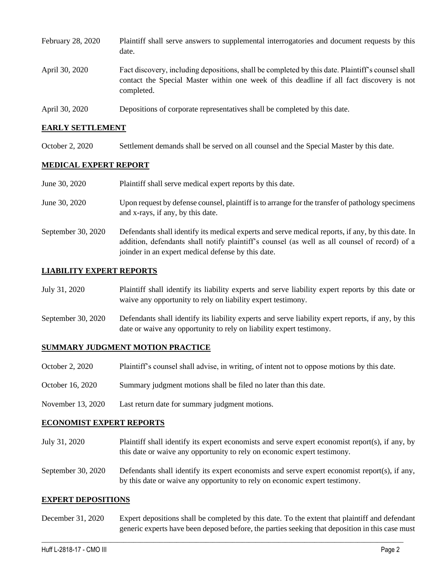| February 28, 2020 | Plaintiff shall serve answers to supplemental interrogatories and document requests by this<br>date.                                                                                                        |
|-------------------|-------------------------------------------------------------------------------------------------------------------------------------------------------------------------------------------------------------|
| April 30, 2020    | Fact discovery, including depositions, shall be completed by this date. Plaintiff's counsel shall<br>contact the Special Master within one week of this deadline if all fact discovery is not<br>completed. |
| April 30, 2020    | Depositions of corporate representatives shall be completed by this date.                                                                                                                                   |

### **EARLY SETTLEMENT**

October 2, 2020 Settlement demands shall be served on all counsel and the Special Master by this date.

## **MEDICAL EXPERT REPORT**

| June 30, 2020      | Plaintiff shall serve medical expert reports by this date.                                                                                                                                                                                               |
|--------------------|----------------------------------------------------------------------------------------------------------------------------------------------------------------------------------------------------------------------------------------------------------|
| June 30, 2020      | Upon request by defense counsel, plaintiff is to arrange for the transfer of pathology specimens<br>and x-rays, if any, by this date.                                                                                                                    |
| September 30, 2020 | Defendants shall identify its medical experts and serve medical reports, if any, by this date. In<br>addition, defendants shall notify plaintiff's counsel (as well as all counsel of record) of a<br>joinder in an expert medical defense by this date. |

## **LIABILITY EXPERT REPORTS**

| July 31, 2020 | Plaintiff shall identify its liability experts and serve liability expert reports by this date or |
|---------------|---------------------------------------------------------------------------------------------------|
|               | waive any opportunity to rely on liability expert testimony.                                      |

September 30, 2020 Defendants shall identify its liability experts and serve liability expert reports, if any, by this date or waive any opportunity to rely on liability expert testimony.

#### **SUMMARY JUDGMENT MOTION PRACTICE**

- October 2, 2020 Plaintiff's counsel shall advise, in writing, of intent not to oppose motions by this date.
- October 16, 2020 Summary judgment motions shall be filed no later than this date.
- November 13, 2020 Last return date for summary judgment motions.

#### **ECONOMIST EXPERT REPORTS**

- July 31, 2020 Plaintiff shall identify its expert economists and serve expert economist report(s), if any, by this date or waive any opportunity to rely on economic expert testimony.
- September 30, 2020 Defendants shall identify its expert economists and serve expert economist report(s), if any, by this date or waive any opportunity to rely on economic expert testimony.

#### **EXPERT DEPOSITIONS**

December 31, 2020 Expert depositions shall be completed by this date. To the extent that plaintiff and defendant generic experts have been deposed before, the parties seeking that deposition in this case must

 $\_$  , and the set of the set of the set of the set of the set of the set of the set of the set of the set of the set of the set of the set of the set of the set of the set of the set of the set of the set of the set of th